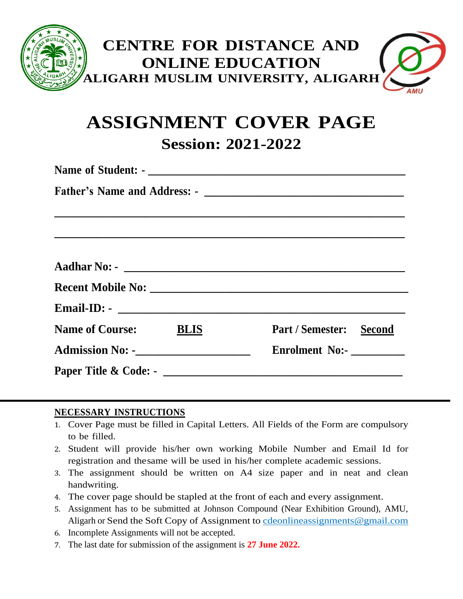

# **ASSIGNMENT COVER PAGE Session: 2021-2022**

| <b>Name of Course:</b> BLIS                   | Part / Semester: Second |  |  |  |  |
|-----------------------------------------------|-------------------------|--|--|--|--|
| <b>Admission No: -</b> ______________________ | Enrolment No:-          |  |  |  |  |
|                                               |                         |  |  |  |  |

# **NECESSARY INSTRUCTIONS**

- 1. Cover Page must be filled in Capital Letters. All Fields of the Form are compulsory to be filled.
- 2. Student will provide his/her own working Mobile Number and Email Id for registration and thesame will be used in his/her complete academic sessions.
- 3. The assignment should be written on A4 size paper and in neat and clean handwriting.
- 4. The cover page should be stapled at the front of each and every assignment.
- 5. Assignment has to be submitted at Johnson Compound (Near Exhibition Ground), AMU, Aligarh or Send the Soft Copy of Assignment to [cdeonlineassignments@gmail.com](mailto:cdeonlineassignments@gmail.com)
- 6. Incomplete Assignments will not be accepted.
- 7. The last date for submission of the assignment is **27 June 2022.**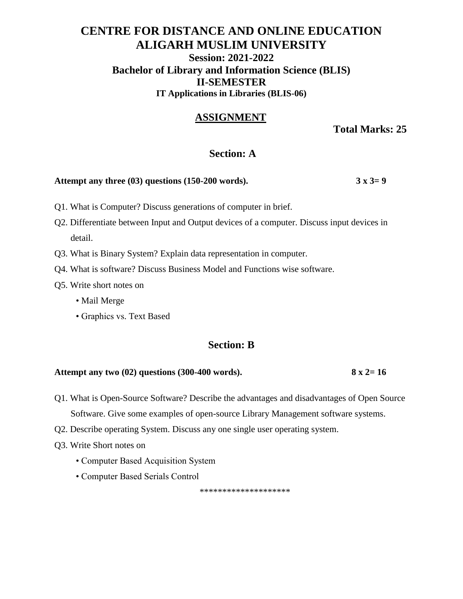# **CENTRE FOR DISTANCE AND ONLINE EDUCATION ALIGARH MUSLIM UNIVERSITY Session: 2021-2022 Bachelor of Library and Information Science (BLIS) II-SEMESTER IT Applications in Libraries (BLIS-06)**

# **ASSIGNMENT**

**Total Marks: 25**

### **Section: A**

#### **Attempt any three (03) questions (150-200 words). 3 x 3= 9**

- Q1. What is Computer? Discuss generations of computer in brief.
- Q2. Differentiate between Input and Output devices of a computer. Discuss input devices in detail.
- Q3. What is Binary System? Explain data representation in computer.
- Q4. What is software? Discuss Business Model and Functions wise software.
- Q5. Write short notes on
	- Mail Merge
	- Graphics vs. Text Based

#### **Section: B**

#### **Attempt any two (02) questions (300-400 words). 8 x 2= 16**

Q1. What is Open-Source Software? Describe the advantages and disadvantages of Open Source Software. Give some examples of open-source Library Management software systems.

- Q2. Describe operating System. Discuss any one single user operating system.
- Q3. Write Short notes on
	- Computer Based Acquisition System
	- Computer Based Serials Control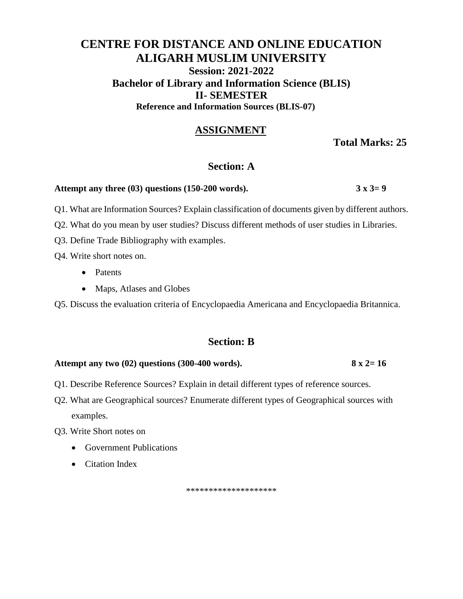# **CENTRE FOR DISTANCE AND ONLINE EDUCATION ALIGARH MUSLIM UNIVERSITY Session: 2021-2022 Bachelor of Library and Information Science (BLIS) II- SEMESTER Reference and Information Sources (BLIS-07)**

# **ASSIGNMENT**

**Total Marks: 25**

# **Section: A**

#### **Attempt any three (03) questions (150-200 words). 3 x 3= 9**

Q1. What are Information Sources? Explain classification of documents given by different authors.

- Q2. What do you mean by user studies? Discuss different methods of user studies in Libraries.
- Q3. Define Trade Bibliography with examples.

Q4. Write short notes on.

- Patents
- Maps, Atlases and Globes

Q5. Discuss the evaluation criteria of Encyclopaedia Americana and Encyclopaedia Britannica.

# **Section: B**

#### **Attempt any two (02) questions (300-400 words). 8 x 2= 16**

- Q1. Describe Reference Sources? Explain in detail different types of reference sources.
- Q2. What are Geographical sources? Enumerate different types of Geographical sources with examples.

Q3. Write Short notes on

- Government Publications
- Citation Index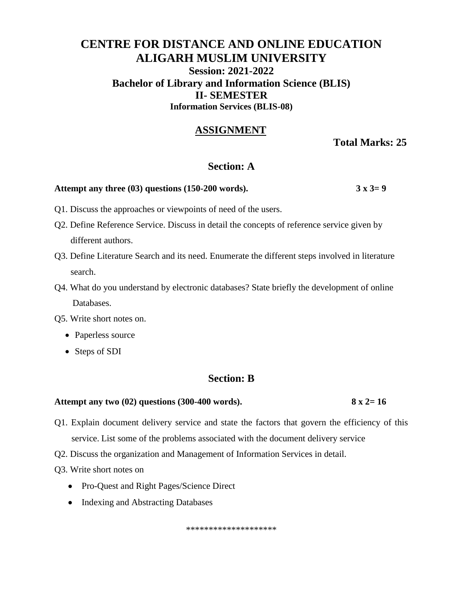# **CENTRE FOR DISTANCE AND ONLINE EDUCATION ALIGARH MUSLIM UNIVERSITY Session: 2021-2022 Bachelor of Library and Information Science (BLIS) II- SEMESTER Information Services (BLIS-08)**

# **ASSIGNMENT**

**Total Marks: 25**

### **Section: A**

#### **Attempt any three (03) questions (150-200 words). 3 x 3= 9**

- Q1. Discuss the approaches or viewpoints of need of the users.
- Q2. Define Reference Service. Discuss in detail the concepts of reference service given by different authors.
- Q3. Define Literature Search and its need. Enumerate the different steps involved in literature search.
- Q4. What do you understand by electronic databases? State briefly the development of online Databases.
- Q5. Write short notes on.
	- Paperless source
	- Steps of SDI

#### **Section: B**

#### **Attempt any two (02) questions (300-400 words). 8 x 2= 16**

- Q1. Explain document delivery service and state the factors that govern the efficiency of this service. List some of the problems associated with the document delivery service
- Q2. Discuss the organization and Management of Information Services in detail.
- Q3. Write short notes on
	- Pro-Quest and Right Pages/Science Direct
	- Indexing and Abstracting Databases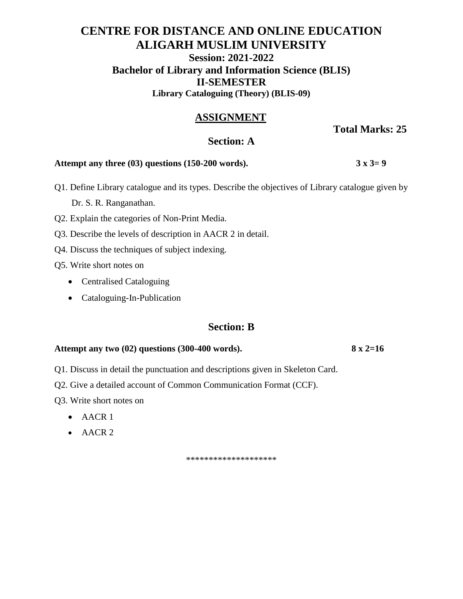# **CENTRE FOR DISTANCE AND ONLINE EDUCATION ALIGARH MUSLIM UNIVERSITY Session: 2021-2022 Bachelor of Library and Information Science (BLIS) II-SEMESTER Library Cataloguing (Theory) (BLIS-09)**

# **ASSIGNMENT**

**Total Marks: 25**

# **Section: A**

#### **Attempt any three (03) questions (150-200 words).**  $3 \times 3 = 9$

- Q1. Define Library catalogue and its types. Describe the objectives of Library catalogue given by Dr. S. R. Ranganathan.
- Q2. Explain the categories of Non-Print Media.
- Q3. Describe the levels of description in AACR 2 in detail.
- Q4. Discuss the techniques of subject indexing.
- Q5. Write short notes on
	- Centralised Cataloguing
	- Cataloguing-In-Publication

# **Section: B**

#### **Attempt any two (02) questions (300-400 words). 8 x 2=16**

- Q1. Discuss in detail the punctuation and descriptions given in Skeleton Card.
- Q2. Give a detailed account of Common Communication Format (CCF).

Q3. Write short notes on

- $\bullet$  AACR 1
- AACR 2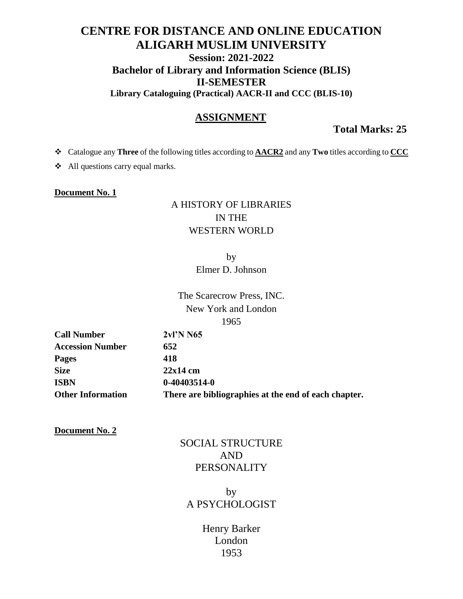# **CENTRE FOR DISTANCE AND ONLINE EDUCATION ALIGARH MUSLIM UNIVERSITY Session: 2021-2022 Bachelor of Library and Information Science (BLIS) II-SEMESTER Library Cataloguing (Practical) AACR-II and CCC (BLIS-10)**

# **ASSIGNMENT**

**Total Marks: 25**

Catalogue any **Three** of the following titles according to **AACR2** and any **Two** titles according to **CCC**

All questions carry equal marks.

#### **Document No. 1**

# A HISTORY OF LIBRARIES IN THE WESTERN WORLD

by Elmer D. Johnson

The Scarecrow Press, INC. New York and London 1965

**Call Number 2vl'N N65 Accession Number 652 Pages 418 Size 22x14 cm ISBN 0-40403514-0**

**Other Information There are bibliographies at the end of each chapter.**

**Document No. 2**

# SOCIAL STRUCTURE AND PERSONALITY

# by A PSYCHOLOGIST

# Henry Barker London 1953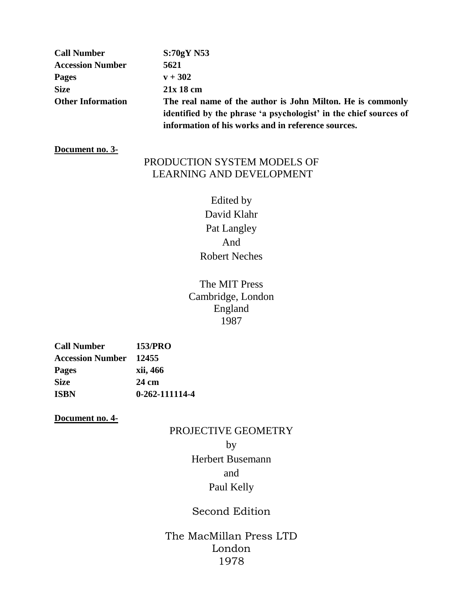| <b>Call Number</b>       | $S:70gY$ N53                                                      |
|--------------------------|-------------------------------------------------------------------|
| <b>Accession Number</b>  | 5621                                                              |
| <b>Pages</b>             | $v + 302$                                                         |
| <b>Size</b>              | $21x18$ cm                                                        |
| <b>Other Information</b> | The real name of the author is John Milton. He is commonly        |
|                          | identified by the phrase 'a psychologist' in the chief sources of |
|                          | information of his works and in reference sources.                |

#### **Document no. 3-**

# PRODUCTION SYSTEM MODELS OF LEARNING AND DEVELOPMENT

Edited by David Klahr Pat Langley And Robert Neches

The MIT Press Cambridge, London England 1987

| <b>Call Number</b>      | 153/PRO        |
|-------------------------|----------------|
| <b>Accession Number</b> | 12455          |
| <b>Pages</b>            | xii, 466       |
| Size                    | 24 cm          |
| <b>ISBN</b>             | 0-262-111114-4 |

**Document no. 4-**

# PROJECTIVE GEOMETRY

by

Herbert Busemann and Paul Kelly

# Second Edition

The MacMillan Press LTD London 1978